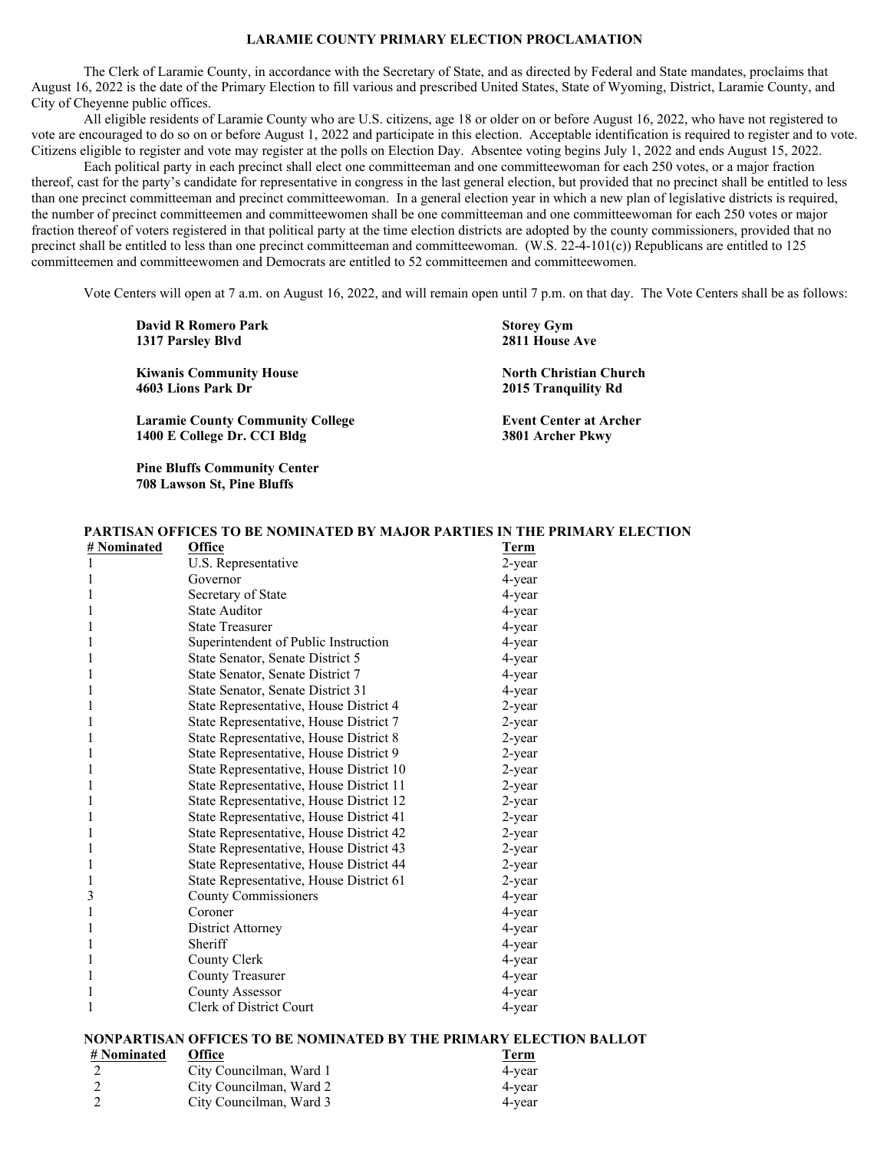# **LARAMIE COUNTY PRIMARY ELECTION PROCLAMATION**

 The Clerk of Laramie County, in accordance with the Secretary of State, and as directed by Federal and State mandates, proclaims that August 16, 2022 is the date of the Primary Election to fill various and prescribed United States, State of Wyoming, District, Laramie County, and City of Cheyenne public offices.

 All eligible residents of Laramie County who are U.S. citizens, age 18 or older on or before August 16, 2022, who have not registered to vote are encouraged to do so on or before August 1, 2022 and participate in this election. Acceptable identification is required to register and to vote. Citizens eligible to register and vote may register at the polls on Election Day. Absentee voting begins July 1, 2022 and ends August 15, 2022.

 Each political party in each precinct shall elect one committeeman and one committeewoman for each 250 votes, or a major fraction thereof, cast for the party's candidate for representative in congress in the last general election, but provided that no precinct shall be entitled to less than one precinct committeeman and precinct committeewoman. In a general election year in which a new plan of legislative districts is required, the number of precinct committeemen and committeewomen shall be one committeeman and one committeewoman for each 250 votes or major fraction thereof of voters registered in that political party at the time election districts are adopted by the county commissioners, provided that no precinct shall be entitled to less than one precinct committeeman and committeewoman. (W.S. 22-4-101(c)) Republicans are entitled to 125 committeemen and committeewomen and Democrats are entitled to 52 committeemen and committeewomen.

Vote Centers will open at 7 a.m. on August 16, 2022, and will remain open until 7 p.m. on that day. The Vote Centers shall be as follows:

| 2000 100 100 100 111 122 123 124 125<br>1317 Parsley Blyd              | $\sim$<br>2811 House Ave                             |
|------------------------------------------------------------------------|------------------------------------------------------|
| <b>Kiwanis Community House</b><br>4603 Lions Park Dr                   | <b>North Christian Church</b><br>2015 Tranquility Rd |
| <b>Laramie County Community College</b><br>1400 E College Dr. CCI Bldg | <b>Event Center at Archer</b><br>3801 Archer Pkwy    |

**David R Romero Park Storey Gym Storey Gym** 

 **Pine Bluffs Community Center 708 Lawson St, Pine Bluffs** 

### **PARTISAN OFFICES TO BE NOMINATED BY MAJOR PARTIES IN THE PRIMARY ELECTION**

| # Nominated | <b>Office</b>                           | <b>Term</b> |
|-------------|-----------------------------------------|-------------|
|             | U.S. Representative                     | 2-year      |
|             | Governor                                | 4-year      |
|             | Secretary of State                      | 4-year      |
| 1           | <b>State Auditor</b>                    | 4-year      |
| 1           | <b>State Treasurer</b>                  | 4-year      |
| 1           | Superintendent of Public Instruction    | 4-year      |
|             | State Senator, Senate District 5        | 4-year      |
| 1           | State Senator, Senate District 7        | 4-year      |
|             | State Senator, Senate District 31       | 4-year      |
| 1           | State Representative, House District 4  | 2-year      |
| 1           | State Representative, House District 7  | 2-year      |
|             | State Representative, House District 8  | 2-year      |
| 1           | State Representative, House District 9  | 2-year      |
| 1           | State Representative, House District 10 | 2-year      |
| 1           | State Representative, House District 11 | 2-year      |
| 1           | State Representative, House District 12 | 2-year      |
| 1           | State Representative, House District 41 | 2-year      |
| 1           | State Representative, House District 42 | 2-year      |
| 1           | State Representative, House District 43 | 2-year      |
| 1           | State Representative, House District 44 | 2-year      |
| 1           | State Representative, House District 61 | 2-year      |
| 3           | <b>County Commissioners</b>             | 4-year      |
| 1           | Coroner                                 | 4-year      |
| 1           | District Attorney                       | 4-year      |
| 1           | Sheriff                                 | 4-year      |
| 1           | County Clerk                            | 4-year      |
| 1           | <b>County Treasurer</b>                 | 4-year      |
| 1           | <b>County Assessor</b>                  | 4-year      |
| 1           | Clerk of District Court                 | 4-year      |
|             |                                         |             |

### **NONPARTISAN OFFICES TO BE NOMINATED BY THE PRIMARY ELECTION BALLOT**

| # Nominated | <b>Office</b>           | <u>Term</u> |
|-------------|-------------------------|-------------|
|             | City Councilman, Ward 1 | 4-year      |
|             | City Councilman, Ward 2 | 4-year      |
|             | City Councilman, Ward 3 | 4-year      |